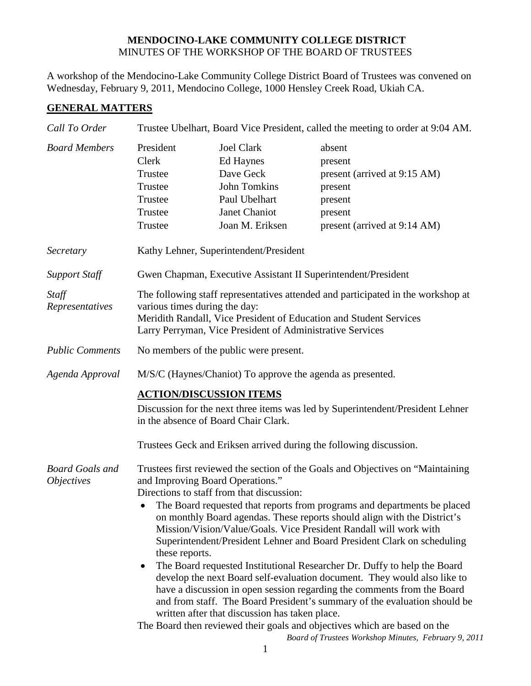## **MENDOCINO-LAKE COMMUNITY COLLEGE DISTRICT** MINUTES OF THE WORKSHOP OF THE BOARD OF TRUSTEES

A workshop of the Mendocino-Lake Community College District Board of Trustees was convened on Wednesday, February 9, 2011, Mendocino College, 1000 Hensley Creek Road, Ukiah CA.

## **GENERAL MATTERS**

| Call To Order                               | Trustee Ubelhart, Board Vice President, called the meeting to order at 9:04 AM.                                                                                                                                                                                                                                                                                                                                                                                                                                                                                                                                                                                                                                                                                                                                                                                                                                                                                     |                                                                                                                         |                                                                                                                    |
|---------------------------------------------|---------------------------------------------------------------------------------------------------------------------------------------------------------------------------------------------------------------------------------------------------------------------------------------------------------------------------------------------------------------------------------------------------------------------------------------------------------------------------------------------------------------------------------------------------------------------------------------------------------------------------------------------------------------------------------------------------------------------------------------------------------------------------------------------------------------------------------------------------------------------------------------------------------------------------------------------------------------------|-------------------------------------------------------------------------------------------------------------------------|--------------------------------------------------------------------------------------------------------------------|
| <b>Board Members</b>                        | President<br>Clerk<br>Trustee<br>Trustee<br>Trustee<br>Trustee<br>Trustee                                                                                                                                                                                                                                                                                                                                                                                                                                                                                                                                                                                                                                                                                                                                                                                                                                                                                           | <b>Joel Clark</b><br>Ed Haynes<br>Dave Geck<br><b>John Tomkins</b><br>Paul Ubelhart<br>Janet Chaniot<br>Joan M. Eriksen | absent<br>present<br>present (arrived at 9:15 AM)<br>present<br>present<br>present<br>present (arrived at 9:14 AM) |
| Secretary                                   | Kathy Lehner, Superintendent/President                                                                                                                                                                                                                                                                                                                                                                                                                                                                                                                                                                                                                                                                                                                                                                                                                                                                                                                              |                                                                                                                         |                                                                                                                    |
| <b>Support Staff</b>                        | Gwen Chapman, Executive Assistant II Superintendent/President                                                                                                                                                                                                                                                                                                                                                                                                                                                                                                                                                                                                                                                                                                                                                                                                                                                                                                       |                                                                                                                         |                                                                                                                    |
| Staff<br>Representatives                    | The following staff representatives attended and participated in the workshop at<br>various times during the day:<br>Meridith Randall, Vice President of Education and Student Services<br>Larry Perryman, Vice President of Administrative Services                                                                                                                                                                                                                                                                                                                                                                                                                                                                                                                                                                                                                                                                                                                |                                                                                                                         |                                                                                                                    |
| <b>Public Comments</b>                      | No members of the public were present.                                                                                                                                                                                                                                                                                                                                                                                                                                                                                                                                                                                                                                                                                                                                                                                                                                                                                                                              |                                                                                                                         |                                                                                                                    |
| Agenda Approval                             | M/S/C (Haynes/Chaniot) To approve the agenda as presented.                                                                                                                                                                                                                                                                                                                                                                                                                                                                                                                                                                                                                                                                                                                                                                                                                                                                                                          |                                                                                                                         |                                                                                                                    |
|                                             | <b>ACTION/DISCUSSION ITEMS</b><br>Discussion for the next three items was led by Superintendent/President Lehner<br>in the absence of Board Chair Clark.<br>Trustees Geck and Eriksen arrived during the following discussion.                                                                                                                                                                                                                                                                                                                                                                                                                                                                                                                                                                                                                                                                                                                                      |                                                                                                                         |                                                                                                                    |
| <b>Board Goals and</b><br><i>Objectives</i> | Trustees first reviewed the section of the Goals and Objectives on "Maintaining<br>and Improving Board Operations."<br>Directions to staff from that discussion:<br>The Board requested that reports from programs and departments be placed<br>$\bullet$<br>on monthly Board agendas. These reports should align with the District's<br>Mission/Vision/Value/Goals. Vice President Randall will work with<br>Superintendent/President Lehner and Board President Clark on scheduling<br>these reports.<br>The Board requested Institutional Researcher Dr. Duffy to help the Board<br>$\bullet$<br>develop the next Board self-evaluation document. They would also like to<br>have a discussion in open session regarding the comments from the Board<br>and from staff. The Board President's summary of the evaluation should be<br>written after that discussion has taken place.<br>The Board then reviewed their goals and objectives which are based on the |                                                                                                                         |                                                                                                                    |

*Board of Trustees Workshop Minutes, February 9, 2011*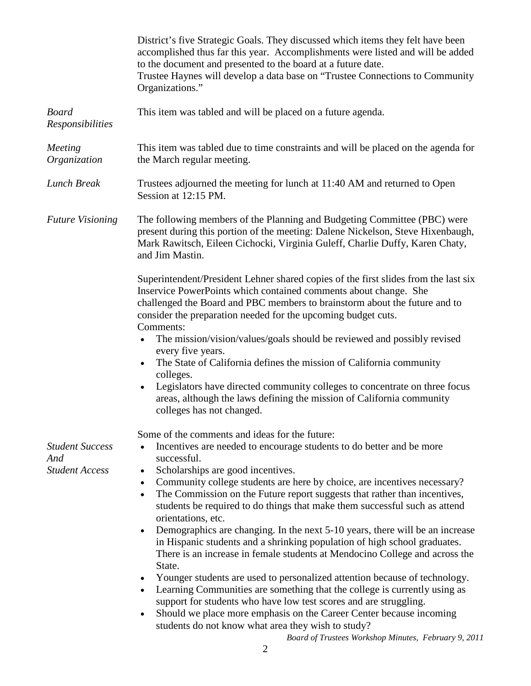|                                                        | District's five Strategic Goals. They discussed which items they felt have been<br>accomplished thus far this year. Accomplishments were listed and will be added<br>to the document and presented to the board at a future date.<br>Trustee Haynes will develop a data base on "Trustee Connections to Community"<br>Organizations." |  |  |  |
|--------------------------------------------------------|---------------------------------------------------------------------------------------------------------------------------------------------------------------------------------------------------------------------------------------------------------------------------------------------------------------------------------------|--|--|--|
| <b>Board</b><br>Responsibilities                       | This item was tabled and will be placed on a future agenda.                                                                                                                                                                                                                                                                           |  |  |  |
| Meeting<br>Organization                                | This item was tabled due to time constraints and will be placed on the agenda for<br>the March regular meeting.                                                                                                                                                                                                                       |  |  |  |
| Lunch Break                                            | Trustees adjourned the meeting for lunch at 11:40 AM and returned to Open<br>Session at 12:15 PM.                                                                                                                                                                                                                                     |  |  |  |
| <b>Future Visioning</b>                                | The following members of the Planning and Budgeting Committee (PBC) were<br>present during this portion of the meeting: Dalene Nickelson, Steve Hixenbaugh,<br>Mark Rawitsch, Eileen Cichocki, Virginia Guleff, Charlie Duffy, Karen Chaty,<br>and Jim Mastin.                                                                        |  |  |  |
|                                                        | Superintendent/President Lehner shared copies of the first slides from the last six<br>Inservice PowerPoints which contained comments about change. She<br>challenged the Board and PBC members to brainstorm about the future and to<br>consider the preparation needed for the upcoming budget cuts.<br>Comments:                   |  |  |  |
|                                                        | The mission/vision/values/goals should be reviewed and possibly revised<br>every five years.                                                                                                                                                                                                                                          |  |  |  |
|                                                        | The State of California defines the mission of California community<br>colleges.                                                                                                                                                                                                                                                      |  |  |  |
|                                                        | Legislators have directed community colleges to concentrate on three focus<br>areas, although the laws defining the mission of California community<br>colleges has not changed.                                                                                                                                                      |  |  |  |
|                                                        | Some of the comments and ideas for the future:                                                                                                                                                                                                                                                                                        |  |  |  |
| <b>Student Success</b><br>And<br><b>Student Access</b> | Incentives are needed to encourage students to do better and be more<br>successful.                                                                                                                                                                                                                                                   |  |  |  |
|                                                        | Scholarships are good incentives.<br>$\bullet$                                                                                                                                                                                                                                                                                        |  |  |  |
|                                                        | Community college students are here by choice, are incentives necessary?<br>$\bullet$<br>The Commission on the Future report suggests that rather than incentives,<br>$\bullet$<br>students be required to do things that make them successful such as attend<br>orientations, etc.                                                   |  |  |  |
|                                                        | Demographics are changing. In the next 5-10 years, there will be an increase<br>in Hispanic students and a shrinking population of high school graduates.<br>There is an increase in female students at Mendocino College and across the<br>State.                                                                                    |  |  |  |
|                                                        | Younger students are used to personalized attention because of technology.                                                                                                                                                                                                                                                            |  |  |  |
|                                                        | Learning Communities are something that the college is currently using as<br>$\bullet$<br>support for students who have low test scores and are struggling.                                                                                                                                                                           |  |  |  |
|                                                        | Should we place more emphasis on the Career Center because incoming<br>students do not know what area they wish to study?                                                                                                                                                                                                             |  |  |  |

*Board of Trustees Workshop Minutes, February 9, 2011*